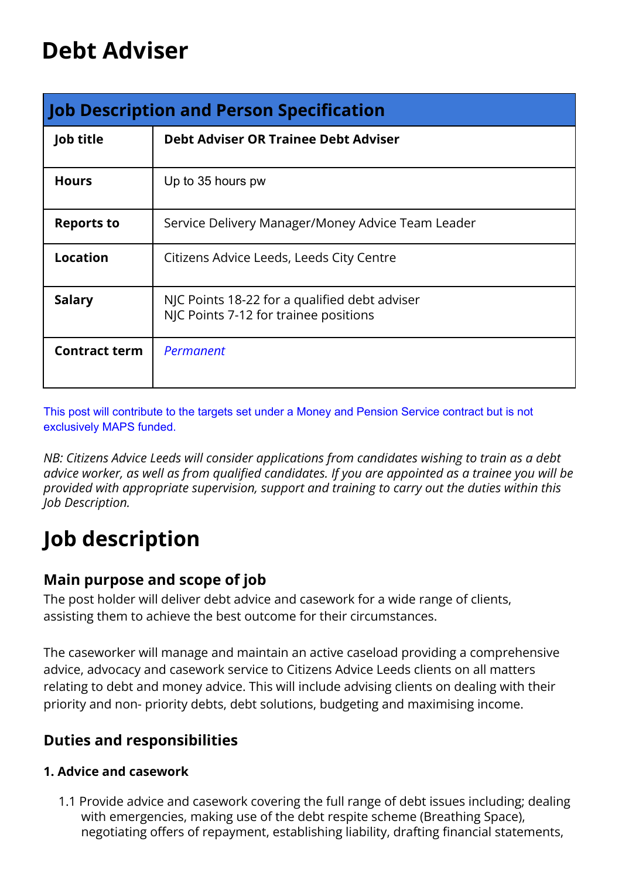# **Debt Adviser**

| Job Description and Person Specification |                                                                                        |  |  |  |
|------------------------------------------|----------------------------------------------------------------------------------------|--|--|--|
| Job title                                | <b>Debt Adviser OR Trainee Debt Adviser</b>                                            |  |  |  |
| <b>Hours</b>                             | Up to 35 hours pw                                                                      |  |  |  |
| <b>Reports to</b>                        | Service Delivery Manager/Money Advice Team Leader                                      |  |  |  |
| <b>Location</b>                          | Citizens Advice Leeds, Leeds City Centre                                               |  |  |  |
| <b>Salary</b>                            | NJC Points 18-22 for a qualified debt adviser<br>NJC Points 7-12 for trainee positions |  |  |  |
| <b>Contract term</b>                     | Permanent                                                                              |  |  |  |

This post will contribute to the targets set under a Money and Pension Service contract but is not exclusively MAPS funded.

*NB: Citizens Advice Leeds will consider applications from candidates wishing to train as a debt advice worker, as well as from qualified candidates. If you are appointed as a trainee you will be provided with appropriate supervision, support and training to carry out the duties within this Job Description.*

# **Job description**

## **Main purpose and scope of job**

The post holder will deliver debt advice and casework for a wide range of clients, assisting them to achieve the best outcome for their circumstances.

The caseworker will manage and maintain an active caseload providing a comprehensive advice, advocacy and casework service to Citizens Advice Leeds clients on all matters relating to debt and money advice. This will include advising clients on dealing with their priority and non- priority debts, debt solutions, budgeting and maximising income.

## **Duties and responsibilities**

### **1. Advice and casework**

1.1 Provide advice and casework covering the full range of debt issues including; dealing with emergencies, making use of the debt respite scheme (Breathing Space), negotiating offers of repayment, establishing liability, drafting financial statements,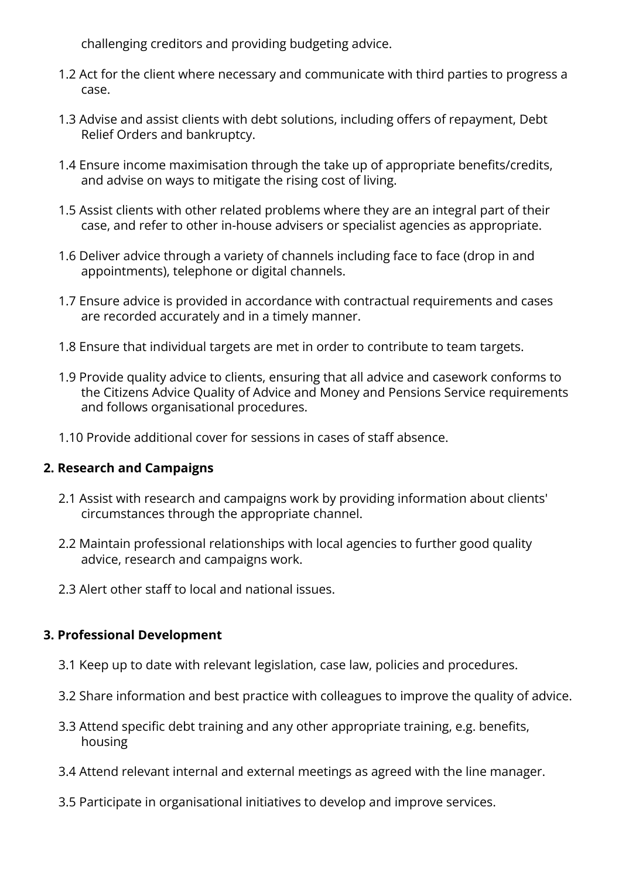challenging creditors and providing budgeting advice.

- 1.2 Act for the client where necessary and communicate with third parties to progress a case.
- 1.3 Advise and assist clients with debt solutions, including offers of repayment, Debt Relief Orders and bankruptcy.
- 1.4 Ensure income maximisation through the take up of appropriate benefits/credits, and advise on ways to mitigate the rising cost of living.
- 1.5 Assist clients with other related problems where they are an integral part of their case, and refer to other in-house advisers or specialist agencies as appropriate.
- 1.6 Deliver advice through a variety of channels including face to face (drop in and appointments), telephone or digital channels.
- 1.7 Ensure advice is provided in accordance with contractual requirements and cases are recorded accurately and in a timely manner.
- 1.8 Ensure that individual targets are met in order to contribute to team targets.
- 1.9 Provide quality advice to clients, ensuring that all advice and casework conforms to the Citizens Advice Quality of Advice and Money and Pensions Service requirements and follows organisational procedures.
- 1.10 Provide additional cover for sessions in cases of staff absence.

#### **2. Research and Campaigns**

- 2.1 Assist with research and campaigns work by providing information about clients' circumstances through the appropriate channel.
- 2.2 Maintain professional relationships with local agencies to further good quality advice, research and campaigns work.
- 2.3 Alert other staff to local and national issues.

### **3. Professional Development**

- 3.1 Keep up to date with relevant legislation, case law, policies and procedures.
- 3.2 Share information and best practice with colleagues to improve the quality of advice.
- 3.3 Attend specific debt training and any other appropriate training, e.g. benefits, housing
- 3.4 Attend relevant internal and external meetings as agreed with the line manager.
- 3.5 Participate in organisational initiatives to develop and improve services.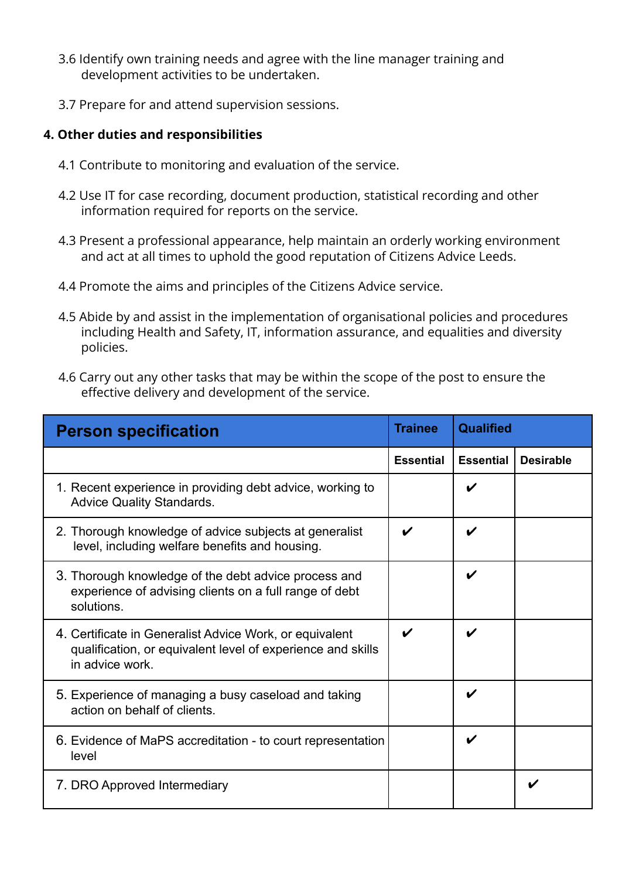- 3.6 Identify own training needs and agree with the line manager training and development activities to be undertaken.
- 3.7 Prepare for and attend supervision sessions.

#### **4. Other duties and responsibilities**

- 4.1 Contribute to monitoring and evaluation of the service.
- 4.2 Use IT for case recording, document production, statistical recording and other information required for reports on the service.
- 4.3 Present a professional appearance, help maintain an orderly working environment and act at all times to uphold the good reputation of Citizens Advice Leeds.
- 4.4 Promote the aims and principles of the Citizens Advice service.
- 4.5 Abide by and assist in the implementation of organisational policies and procedures including Health and Safety, IT, information assurance, and equalities and diversity policies.
- 4.6 Carry out any other tasks that may be within the scope of the post to ensure the effective delivery and development of the service.

| <b>Person specification</b>                                                                                                               | <b>Trainee</b>   | <b>Qualified</b> |                  |
|-------------------------------------------------------------------------------------------------------------------------------------------|------------------|------------------|------------------|
|                                                                                                                                           | <b>Essential</b> | <b>Essential</b> | <b>Desirable</b> |
| 1. Recent experience in providing debt advice, working to<br><b>Advice Quality Standards.</b>                                             |                  |                  |                  |
| 2. Thorough knowledge of advice subjects at generalist<br>level, including welfare benefits and housing.                                  |                  | V                |                  |
| 3. Thorough knowledge of the debt advice process and<br>experience of advising clients on a full range of debt<br>solutions.              |                  | V                |                  |
| 4. Certificate in Generalist Advice Work, or equivalent<br>qualification, or equivalent level of experience and skills<br>in advice work. |                  |                  |                  |
| 5. Experience of managing a busy caseload and taking<br>action on behalf of clients.                                                      |                  | V                |                  |
| 6. Evidence of MaPS accreditation - to court representation<br>level                                                                      |                  | V                |                  |
| 7. DRO Approved Intermediary                                                                                                              |                  |                  | V                |